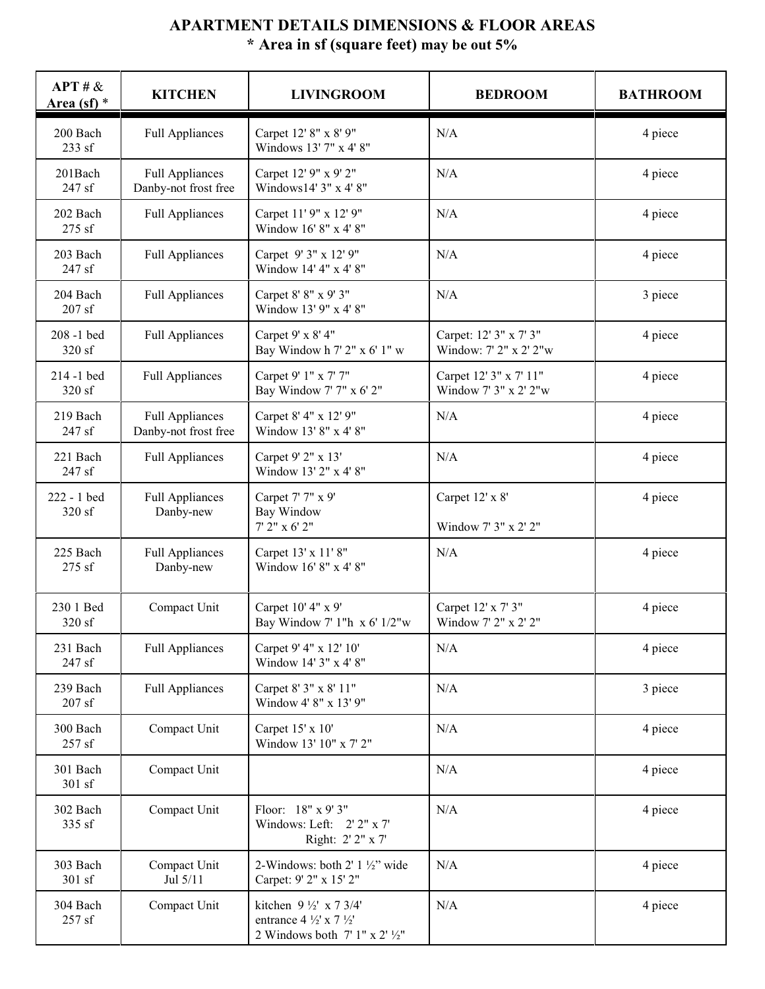## **APARTMENT DETAILS DIMENSIONS & FLOOR AREAS \* Area in sf (square feet) may be out 5%**

| APT # &<br>Area (sf) $*$ | <b>KITCHEN</b>                                 | <b>LIVINGROOM</b>                                                                                                              | <b>BEDROOM</b>                                   | <b>BATHROOM</b> |
|--------------------------|------------------------------------------------|--------------------------------------------------------------------------------------------------------------------------------|--------------------------------------------------|-----------------|
| 200 Bach<br>233 sf       | <b>Full Appliances</b>                         | Carpet 12' 8" x 8' 9"<br>Windows 13' 7" x 4' 8"                                                                                | N/A                                              | 4 piece         |
| 201Bach<br>247 sf        | <b>Full Appliances</b><br>Danby-not frost free | Carpet 12' 9" x 9' 2"<br>Windows14' 3" x 4' 8"                                                                                 | N/A                                              | 4 piece         |
| 202 Bach<br>275 sf       | <b>Full Appliances</b>                         | Carpet 11' 9" x 12' 9"<br>Window 16' 8" x 4' 8"                                                                                | N/A                                              | 4 piece         |
| 203 Bach<br>247 sf       | <b>Full Appliances</b>                         | Carpet 9' 3" x 12' 9"<br>Window 14' 4" x 4' 8"                                                                                 | N/A                                              | 4 piece         |
| 204 Bach<br>$207$ sf     | <b>Full Appliances</b>                         | Carpet 8' 8" x 9' 3"<br>Window 13' 9" x 4' 8"                                                                                  | N/A                                              | 3 piece         |
| 208-1 bed<br>320 sf      | <b>Full Appliances</b>                         | Carpet 9' x 8' 4"<br>Bay Window h 7' 2" x 6' 1" w                                                                              | Carpet: 12' 3" x 7' 3"<br>Window: 7' 2" x 2' 2"w | 4 piece         |
| 214-1 bed<br>320 sf      | <b>Full Appliances</b>                         | Carpet 9' 1" x 7' 7"<br>Bay Window 7' 7" x 6' 2"                                                                               | Carpet 12' 3" x 7' 11"<br>Window 7' 3" x 2' 2"w  | 4 piece         |
| 219 Bach<br>247 sf       | <b>Full Appliances</b><br>Danby-not frost free | Carpet 8' 4" x 12' 9"<br>Window 13' 8" x 4' 8"                                                                                 | N/A                                              | 4 piece         |
| 221 Bach<br>247 sf       | <b>Full Appliances</b>                         | Carpet 9' 2" x 13'<br>Window 13' 2" x 4' 8"                                                                                    | N/A                                              | 4 piece         |
| 222 - 1 bed<br>320 sf    | <b>Full Appliances</b><br>Danby-new            | Carpet 7' 7" x 9'<br>Bay Window<br>$7'$ 2" x 6' 2"                                                                             | Carpet 12' x 8'<br>Window 7' 3" x 2' 2"          | 4 piece         |
| 225 Bach<br>275 sf       | <b>Full Appliances</b><br>Danby-new            | Carpet 13' x 11' 8"<br>Window 16' 8" x 4' 8"                                                                                   | N/A                                              | 4 piece         |
| 230 1 Bed<br>320 sf      | Compact Unit                                   | Carpet 10' 4" x 9'<br>Bay Window 7' 1"h x 6' 1/2"w                                                                             | Carpet 12' x 7' 3"<br>Window 7' 2" x 2' 2"       | 4 piece         |
| 231 Bach<br>247 sf       | <b>Full Appliances</b>                         | Carpet 9' 4" x 12' 10'<br>Window 14' 3" x 4' 8"                                                                                | N/A                                              | 4 piece         |
| 239 Bach<br>$207$ sf     | <b>Full Appliances</b>                         | Carpet 8' 3" x 8' 11"<br>Window 4' 8" x 13' 9"                                                                                 | N/A                                              | 3 piece         |
| 300 Bach<br>257 sf       | Compact Unit                                   | Carpet 15' x 10'<br>Window 13' 10" x 7' 2"                                                                                     | N/A                                              | 4 piece         |
| 301 Bach<br>301 sf       | Compact Unit                                   |                                                                                                                                | N/A                                              | 4 piece         |
| 302 Bach<br>335 sf       | Compact Unit                                   | Floor: 18" x 9' 3"<br>Windows: Left: 2' 2" x 7'<br>Right: 2' 2" x 7'                                                           | N/A                                              | 4 piece         |
| 303 Bach<br>301 sf       | Compact Unit<br>Jul 5/11                       | 2-Windows: both $2'$ 1 $\frac{1}{2}$ " wide<br>Carpet: 9' 2" x 15' 2"                                                          | N/A                                              | 4 piece         |
| 304 Bach<br>257 sf       | Compact Unit                                   | kitchen 9 $\frac{1}{2}$ x 7 3/4'<br>entrance $4\frac{1}{2}$ x $7\frac{1}{2}$<br>2 Windows both $7' 1''$ x $2'$ $\frac{1}{2}''$ | $\rm N/A$                                        | 4 piece         |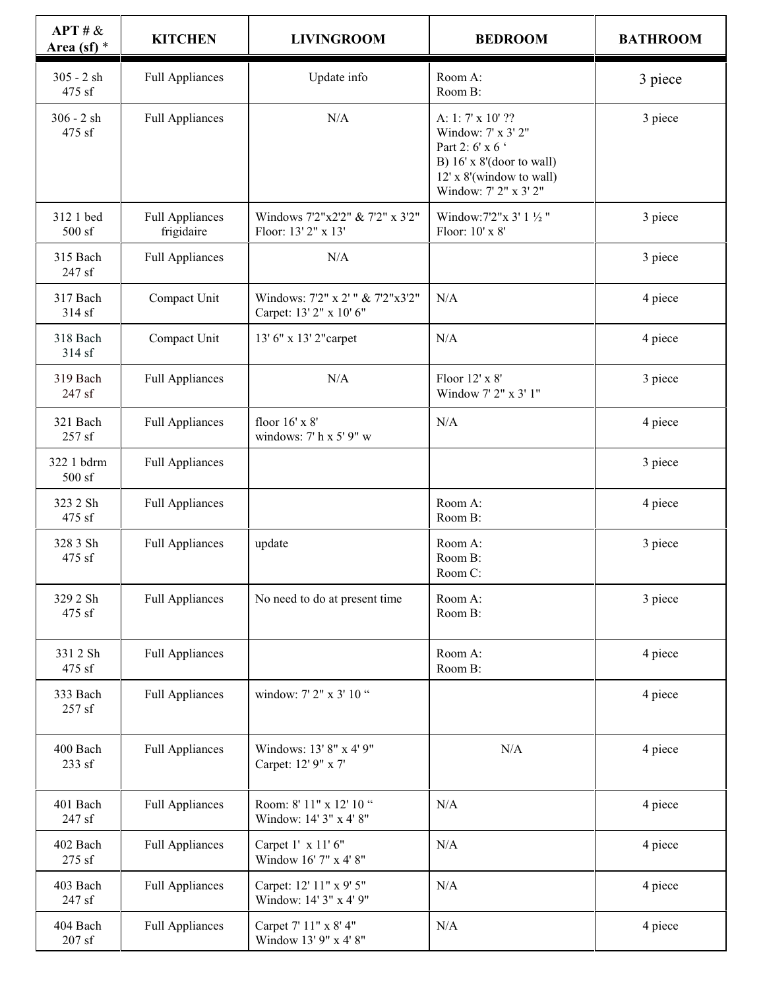| APT # &<br>Area (sf) $*$ | <b>KITCHEN</b>                       | <b>LIVINGROOM</b>                                           | <b>BEDROOM</b>                                                                                                                                | <b>BATHROOM</b> |
|--------------------------|--------------------------------------|-------------------------------------------------------------|-----------------------------------------------------------------------------------------------------------------------------------------------|-----------------|
| $305 - 2 sh$<br>475 sf   | <b>Full Appliances</b>               | Update info                                                 | Room A:<br>Room B:                                                                                                                            | 3 piece         |
| $306 - 2 sh$<br>475 sf   | <b>Full Appliances</b>               | N/A                                                         | A: 1: 7' x 10' ??<br>Window: 7' x 3' 2"<br>Part 2: 6' x 6 '<br>B) 16' x 8'(door to wall)<br>12' x 8'(window to wall)<br>Window: 7' 2" x 3' 2" | 3 piece         |
| 312 1 bed<br>500 sf      | <b>Full Appliances</b><br>frigidaire | Windows 7'2"x2'2" & 7'2" x 3'2"<br>Floor: 13' 2" x 13'      | Window: 7'2" x 3' 1 1/2"<br>Floor: 10' x 8'                                                                                                   | 3 piece         |
| 315 Bach<br>247 sf       | <b>Full Appliances</b>               | N/A                                                         |                                                                                                                                               | 3 piece         |
| 317 Bach<br>314 sf       | Compact Unit                         | Windows: 7'2" x 2' " & 7'2"x3'2"<br>Carpet: 13' 2" x 10' 6" | N/A                                                                                                                                           | 4 piece         |
| 318 Bach<br>314 sf       | Compact Unit                         | 13' 6" x 13' 2" carpet                                      | N/A                                                                                                                                           | 4 piece         |
| 319 Bach<br>247 sf       | <b>Full Appliances</b>               | N/A                                                         | Floor 12' x 8'<br>Window 7' 2" x 3' 1"                                                                                                        | 3 piece         |
| 321 Bach<br>257 sf       | <b>Full Appliances</b>               | floor 16' x 8'<br>windows: 7' h x 5' 9" w                   | N/A                                                                                                                                           | 4 piece         |
| 322 1 bdrm<br>500 sf     | <b>Full Appliances</b>               |                                                             |                                                                                                                                               | 3 piece         |
| 323 2 Sh<br>475 sf       | <b>Full Appliances</b>               |                                                             | Room A:<br>Room B:                                                                                                                            | 4 piece         |
| 328 3 Sh<br>475 sf       | <b>Full Appliances</b>               | update                                                      | Room A:<br>Room B:<br>Room C:                                                                                                                 | 3 piece         |
| 329 2 Sh<br>475 sf       | <b>Full Appliances</b>               | No need to do at present time                               | Room A:<br>Room B:                                                                                                                            | 3 piece         |
| 331 2 Sh<br>475 sf       | <b>Full Appliances</b>               |                                                             | Room A:<br>Room B:                                                                                                                            | 4 piece         |
| 333 Bach<br>257 sf       | <b>Full Appliances</b>               | window: 7' 2" x 3' 10 "                                     |                                                                                                                                               | 4 piece         |
| 400 Bach<br>233 sf       | <b>Full Appliances</b>               | Windows: 13' 8" x 4' 9"<br>Carpet: 12' 9" x 7'              | N/A                                                                                                                                           | 4 piece         |
| 401 Bach<br>247 sf       | <b>Full Appliances</b>               | Room: 8' 11" x 12' 10 "<br>Window: 14' 3" x 4' 8"           | N/A                                                                                                                                           | 4 piece         |
| 402 Bach<br>275 sf       | <b>Full Appliances</b>               | Carpet 1' x 11' 6"<br>Window 16' 7" x 4' 8"                 | N/A                                                                                                                                           | 4 piece         |
| 403 Bach<br>247 sf       | <b>Full Appliances</b>               | Carpet: 12' 11" x 9' 5"<br>Window: 14' 3" x 4' 9"           | N/A                                                                                                                                           | 4 piece         |
| 404 Bach<br>$207$ sf     | <b>Full Appliances</b>               | Carpet 7' 11" x 8' 4"<br>Window 13' 9" x 4' 8"              | N/A                                                                                                                                           | 4 piece         |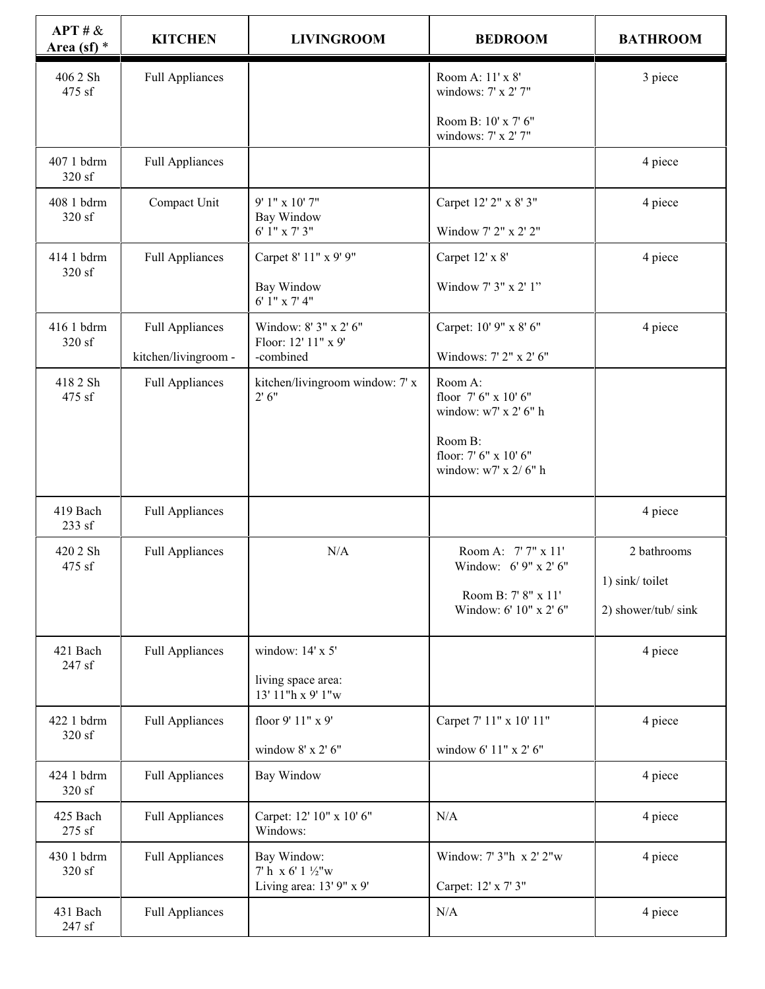| APT # &<br>Area (sf) $*$ | <b>KITCHEN</b>         | <b>LIVINGROOM</b>                                                       | <b>BEDROOM</b>                                           | <b>BATHROOM</b>     |
|--------------------------|------------------------|-------------------------------------------------------------------------|----------------------------------------------------------|---------------------|
| 406 2 Sh<br>475 sf       | <b>Full Appliances</b> |                                                                         | Room A: 11' x 8'<br>windows: 7' x 2' 7"                  | 3 piece             |
|                          |                        |                                                                         | Room B: 10' x 7' 6"<br>windows: 7' x 2' 7"               |                     |
| 407 1 bdrm<br>320 sf     | <b>Full Appliances</b> |                                                                         |                                                          | 4 piece             |
| 408 1 bdrm<br>320 sf     | Compact Unit           | 9' 1" x 10' 7"<br>Bay Window<br>6' 1" x 7' 3"                           | Carpet 12' 2" x 8' 3"<br>Window 7' 2" x 2' 2"            | 4 piece             |
| 414 1 bdrm               | <b>Full Appliances</b> | Carpet 8' 11" x 9' 9"                                                   | Carpet 12' x 8'                                          | 4 piece             |
| 320 sf                   |                        | Bay Window<br>6' 1" x 7' 4"                                             | Window 7' 3" x 2' 1"                                     |                     |
| 416 1 bdrm<br>320 sf     | <b>Full Appliances</b> | Window: 8' 3" x 2' 6"<br>Floor: 12' 11" x 9'                            | Carpet: 10' 9" x 8' 6"                                   | 4 piece             |
|                          | kitchen/livingroom -   | -combined                                                               | Windows: 7' 2" x 2' 6"                                   |                     |
| 418 2 Sh<br>475 sf       | <b>Full Appliances</b> | kitchen/livingroom window: 7' x<br>2' 6''                               | Room A:<br>floor 7' 6" x 10' 6"<br>window: w7' x 2' 6" h |                     |
|                          |                        |                                                                         | Room B:<br>floor: 7' 6" x 10' 6"<br>window: w7' x 2/6" h |                     |
| 419 Bach<br>233 sf       | <b>Full Appliances</b> |                                                                         |                                                          | 4 piece             |
| 420 2 Sh<br>475 sf       | <b>Full Appliances</b> | N/A                                                                     | Room A: 7' 7" x 11'<br>Window: 6' 9" x 2' 6"             | 2 bathrooms         |
|                          |                        |                                                                         | Room B: 7' 8" x 11'                                      | 1) sink/toilet      |
|                          |                        |                                                                         | Window: 6' 10" x 2' 6"                                   | 2) shower/tub/ sink |
| 421 Bach<br>247 sf       | <b>Full Appliances</b> | window: 14' x 5'                                                        |                                                          | 4 piece             |
|                          |                        | living space area:<br>13' 11"h x 9' 1"w                                 |                                                          |                     |
| 422 1 bdrm<br>320 sf     | <b>Full Appliances</b> | floor 9' 11" x 9'                                                       | Carpet 7' 11" x 10' 11"                                  | 4 piece             |
|                          |                        | window 8' x 2' 6"                                                       | window 6' 11" x 2' 6"                                    |                     |
| 424 1 bdrm<br>320 sf     | <b>Full Appliances</b> | Bay Window                                                              |                                                          | 4 piece             |
| 425 Bach<br>275 sf       | <b>Full Appliances</b> | Carpet: 12' 10" x 10' 6"<br>Windows:                                    | N/A                                                      | 4 piece             |
| 430 1 bdrm<br>320 sf     | <b>Full Appliances</b> | Bay Window:<br>7' h x 6' 1 $\frac{1}{2}$ "w<br>Living area: 13' 9" x 9' | Window: 7' 3"h x 2' 2"w<br>Carpet: 12' x 7' 3"           | 4 piece             |
| 431 Bach<br>247 sf       | <b>Full Appliances</b> |                                                                         | N/A                                                      | 4 piece             |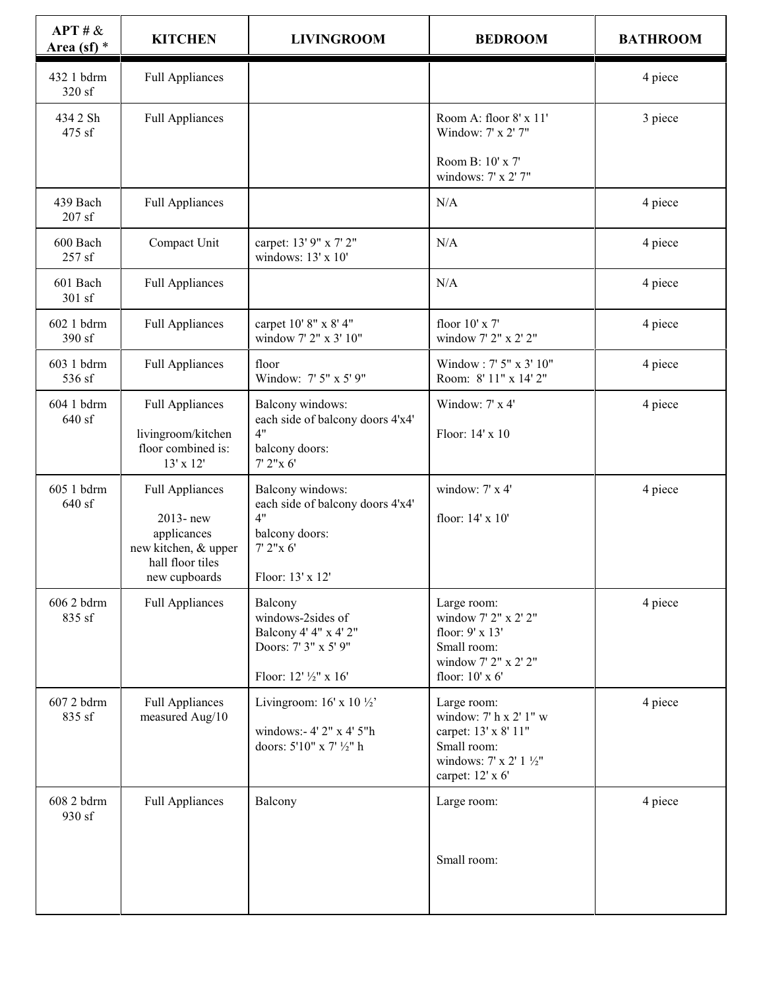| APT # &<br>Area (sf) $*$ | <b>KITCHEN</b>                                                                                                 | <b>LIVINGROOM</b>                                                                                              | <b>BEDROOM</b>                                                                                                              | <b>BATHROOM</b> |
|--------------------------|----------------------------------------------------------------------------------------------------------------|----------------------------------------------------------------------------------------------------------------|-----------------------------------------------------------------------------------------------------------------------------|-----------------|
| 432 1 bdrm<br>320 sf     | <b>Full Appliances</b>                                                                                         |                                                                                                                |                                                                                                                             | 4 piece         |
| 434 2 Sh<br>475 sf       | <b>Full Appliances</b>                                                                                         |                                                                                                                | Room A: floor 8' x 11'<br>Window: 7' x 2' 7"                                                                                | 3 piece         |
|                          |                                                                                                                |                                                                                                                | Room B: 10' x 7'<br>windows: 7' x 2' 7"                                                                                     |                 |
| 439 Bach<br>207sf        | <b>Full Appliances</b>                                                                                         |                                                                                                                | N/A                                                                                                                         | 4 piece         |
| 600 Bach<br>257 sf       | Compact Unit                                                                                                   | carpet: 13' 9" x 7' 2"<br>windows: 13' x 10'                                                                   | N/A                                                                                                                         | 4 piece         |
| 601 Bach<br>301 sf       | <b>Full Appliances</b>                                                                                         |                                                                                                                | N/A                                                                                                                         | 4 piece         |
| 602 1 bdrm<br>390 sf     | <b>Full Appliances</b>                                                                                         | carpet 10' 8" x 8' 4"<br>window 7' 2" x 3' 10"                                                                 | floor 10' x 7'<br>window 7' 2" x 2' 2"                                                                                      | 4 piece         |
| 603 1 bdrm<br>536 sf     | <b>Full Appliances</b>                                                                                         | floor<br>Window: 7' 5" x 5' 9"                                                                                 | Window: 7' 5" x 3' 10"<br>Room: 8' 11" x 14' 2"                                                                             | 4 piece         |
| 604 1 bdrm<br>640 sf     | <b>Full Appliances</b><br>livingroom/kitchen<br>floor combined is:<br>13' x 12'                                | Balcony windows:<br>each side of balcony doors 4'x4'<br>4"<br>balcony doors:<br>7' 2''x 6'                     | Window: 7' x 4'<br>Floor: 14' x 10                                                                                          | 4 piece         |
| 605 1 bdrm<br>640 sf     | <b>Full Appliances</b><br>2013-new<br>applicances<br>new kitchen, & upper<br>hall floor tiles<br>new cupboards | Balcony windows:<br>each side of balcony doors 4'x4'<br>4"<br>balcony doors:<br>7' 2''x 6'<br>Floor: 13' x 12' | window: 7' x 4'<br>floor: 14' x 10'                                                                                         | 4 piece         |
| 606 2 bdrm<br>835 sf     | <b>Full Appliances</b>                                                                                         | Balcony<br>windows-2sides of<br>Balcony 4' 4" x 4' 2"<br>Doors: 7' 3" x 5' 9"<br>Floor: 12' 1/2" x 16'         | Large room:<br>window 7' 2" x 2' 2"<br>floor: 9' x 13'<br>Small room:<br>window 7' 2" x 2' 2"<br>floor: 10' x 6'            | 4 piece         |
| 607 2 bdrm<br>835 sf     | <b>Full Appliances</b><br>measured Aug/10                                                                      | Livingroom: $16' \times 10 \frac{1}{2}$<br>windows:- 4' 2" x 4' 5"h<br>doors: 5'10" x 7' 1/2" h                | Large room:<br>window: 7' h x 2' 1" w<br>carpet: 13' x 8' 11"<br>Small room:<br>windows: 7' x 2' 1 1/2"<br>carpet: 12' x 6' | 4 piece         |
| 608 2 bdrm<br>930 sf     | <b>Full Appliances</b>                                                                                         | Balcony                                                                                                        | Large room:<br>Small room:                                                                                                  | 4 piece         |
|                          |                                                                                                                |                                                                                                                |                                                                                                                             |                 |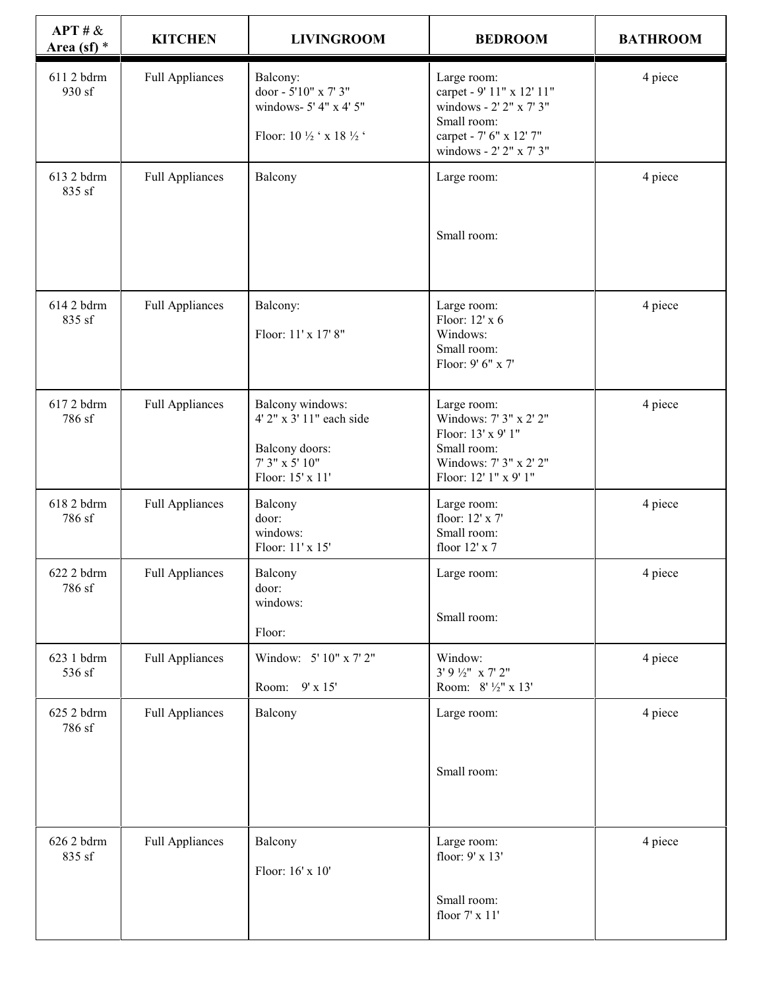| APT # &<br>Area (sf) $*$ | <b>KITCHEN</b>         | <b>LIVINGROOM</b>                                                                                    | <b>BEDROOM</b>                                                                                                                           | <b>BATHROOM</b>     |
|--------------------------|------------------------|------------------------------------------------------------------------------------------------------|------------------------------------------------------------------------------------------------------------------------------------------|---------------------|
| 611 2 bdrm<br>930 sf     | <b>Full Appliances</b> | Balcony:<br>door - 5'10" x 7' 3"<br>windows- 5' 4" x 4' 5"<br>Floor: 10 ½ ' x 18 ½ '                 | Large room:<br>carpet - 9' 11" x 12' 11"<br>windows - 2' 2" x 7' 3"<br>Small room:<br>carpet - 7' 6" x 12' 7"<br>windows - 2' 2" x 7' 3" | 4 piece             |
| 613 2 bdrm<br>835 sf     | <b>Full Appliances</b> | Balcony                                                                                              | Large room:<br>Small room:                                                                                                               | 4 piece             |
|                          |                        |                                                                                                      |                                                                                                                                          |                     |
| 614 2 bdrm<br>835 sf     | <b>Full Appliances</b> | Balcony:<br>Floor: 11' x 17' 8"                                                                      | Large room:<br>Floor: 12' x 6<br>Windows:<br>Small room:<br>Floor: 9' 6" x 7'                                                            | 4 piece             |
| 6172 bdrm<br>786 sf      | <b>Full Appliances</b> | Balcony windows:<br>4' 2" x 3' 11" each side<br>Balcony doors:<br>7' 3" x 5' 10"<br>Floor: 15' x 11' | Large room:<br>Windows: 7' 3" x 2' 2"<br>Floor: 13' x 9' 1"<br>Small room:<br>Windows: 7' 3" x 2' 2"<br>Floor: 12' 1" x 9' 1"            | 4 piece             |
| 618 2 bdrm<br>786 sf     | <b>Full Appliances</b> | Balcony<br>door:<br>windows:<br>Floor: 11' x 15'                                                     | Large room:<br>floor: 12' x 7'<br>Small room:<br>floor 12' x 7                                                                           | 4 piece             |
| 622 2 bdrm<br>786 sf     | <b>Full Appliances</b> | Balcony<br>door:<br>windows:<br>Floor:                                                               | Large room:<br>Small room:                                                                                                               | $4\,\mathrm{piece}$ |
| 623 1 bdrm<br>536 sf     | <b>Full Appliances</b> | Window: 5' 10" x 7' 2"<br>$9'$ x $15'$<br>Room:                                                      | Window:<br>$3'9'2''$ x 7' 2"<br>Room: 8' 1/2" x 13'                                                                                      | 4 piece             |
| 625 2 bdrm<br>786 sf     | <b>Full Appliances</b> | Balcony                                                                                              | Large room:                                                                                                                              | 4 piece             |
|                          |                        |                                                                                                      | Small room:                                                                                                                              |                     |
| 626 2 bdrm<br>835 sf     | <b>Full Appliances</b> | Balcony<br>Floor: 16' x 10'                                                                          | Large room:<br>floor: 9' x 13'                                                                                                           | 4 piece             |
|                          |                        |                                                                                                      | Small room:<br>floor 7' x 11'                                                                                                            |                     |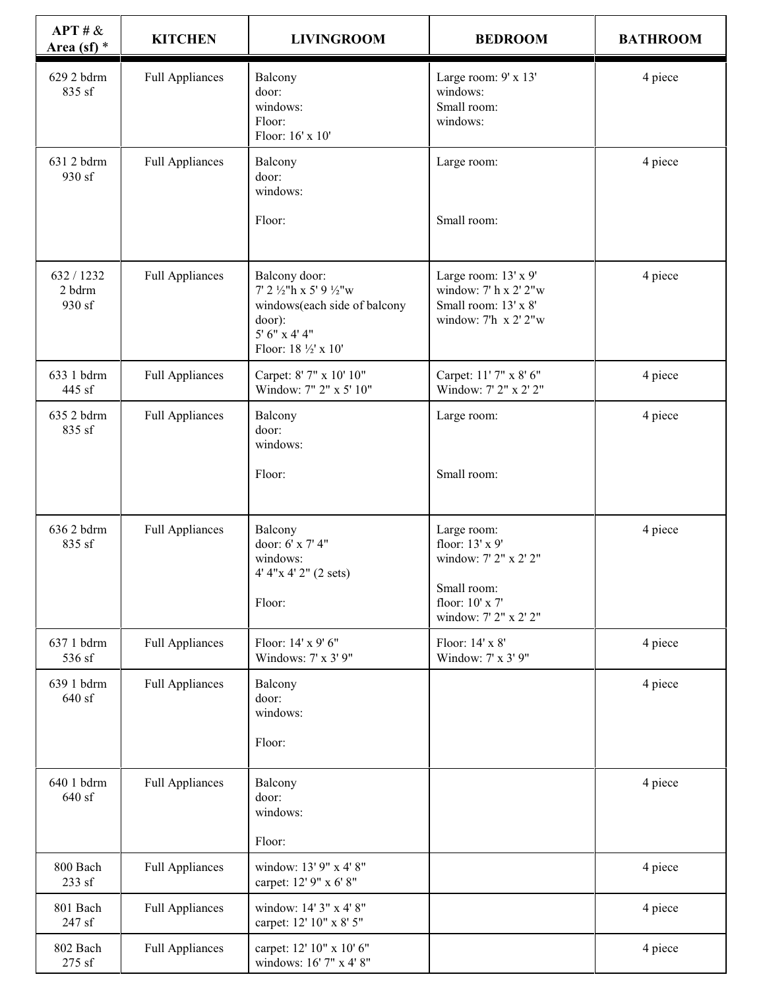| APT # &<br>Area (sf) $*$       | <b>KITCHEN</b>         | <b>LIVINGROOM</b>                                                                                                           | <b>BEDROOM</b>                                                                                | <b>BATHROOM</b> |
|--------------------------------|------------------------|-----------------------------------------------------------------------------------------------------------------------------|-----------------------------------------------------------------------------------------------|-----------------|
| 629 2 bdrm<br>835 sf           | <b>Full Appliances</b> | Balcony<br>door:<br>windows:<br>Floor:<br>Floor: 16' x 10'                                                                  | Large room: 9' x 13'<br>windows:<br>Small room:<br>windows:                                   | 4 piece         |
| 631 2 bdrm<br>930 sf           | <b>Full Appliances</b> | Balcony<br>door:<br>windows:                                                                                                | Large room:                                                                                   | 4 piece         |
|                                |                        | Floor:                                                                                                                      | Small room:                                                                                   |                 |
| 632 / 1232<br>2 bdrm<br>930 sf | <b>Full Appliances</b> | Balcony door:<br>7' 2 1/2"h x 5' 9 1/2"w<br>windows(each side of balcony<br>door):<br>5' 6" x 4' 4"<br>Floor: 18 1/2' x 10' | Large room: 13' x 9'<br>window: 7' h x 2' 2"w<br>Small room: 13' x 8'<br>window: 7'h x 2' 2"w | 4 piece         |
| 633 1 bdrm<br>445 sf           | <b>Full Appliances</b> | Carpet: 8' 7" x 10' 10"<br>Window: 7" 2" x 5' 10"                                                                           | Carpet: 11' 7" x 8' 6"<br>Window: 7' 2" x 2' 2"                                               | 4 piece         |
| 635 2 bdrm<br>835 sf           | <b>Full Appliances</b> | Balcony<br>door:<br>windows:                                                                                                | Large room:                                                                                   | 4 piece         |
|                                |                        | Floor:                                                                                                                      | Small room:                                                                                   |                 |
| 636 2 bdrm<br>835 sf           | <b>Full Appliances</b> | Balcony<br>door: 6' x 7' 4"<br>windows:<br>4' 4"x 4' 2" (2 sets)                                                            | Large room:<br>floor: 13' x 9'<br>window: 7' 2" x 2' 2"<br>Small room:                        | 4 piece         |
|                                |                        | Floor:                                                                                                                      | floor: 10' x 7'<br>window: 7' 2" x 2' 2"                                                      |                 |
| 637 1 bdrm<br>536 sf           | <b>Full Appliances</b> | Floor: 14' x 9' 6"<br>Windows: 7' x 3' 9"                                                                                   | Floor: 14' x 8'<br>Window: 7' x 3' 9"                                                         | 4 piece         |
| 639 1 bdrm<br>640 sf           | <b>Full Appliances</b> | Balcony<br>door:<br>windows:<br>Floor:                                                                                      |                                                                                               | 4 piece         |
| 640 1 bdrm<br>640 sf           | <b>Full Appliances</b> | Balcony<br>door:<br>windows:                                                                                                |                                                                                               | 4 piece         |
|                                |                        | Floor:                                                                                                                      |                                                                                               |                 |
| 800 Bach<br>233 sf             | <b>Full Appliances</b> | window: 13' 9" x 4' 8"<br>carpet: 12' 9" x 6' 8"                                                                            |                                                                                               | 4 piece         |
| 801 Bach<br>247 sf             | <b>Full Appliances</b> | window: 14' 3" x 4' 8"<br>carpet: 12' 10" x 8' 5"                                                                           |                                                                                               | 4 piece         |
| 802 Bach<br>275 sf             | <b>Full Appliances</b> | carpet: 12' 10" x 10' 6"<br>windows: 16' 7" x 4' 8"                                                                         |                                                                                               | 4 piece         |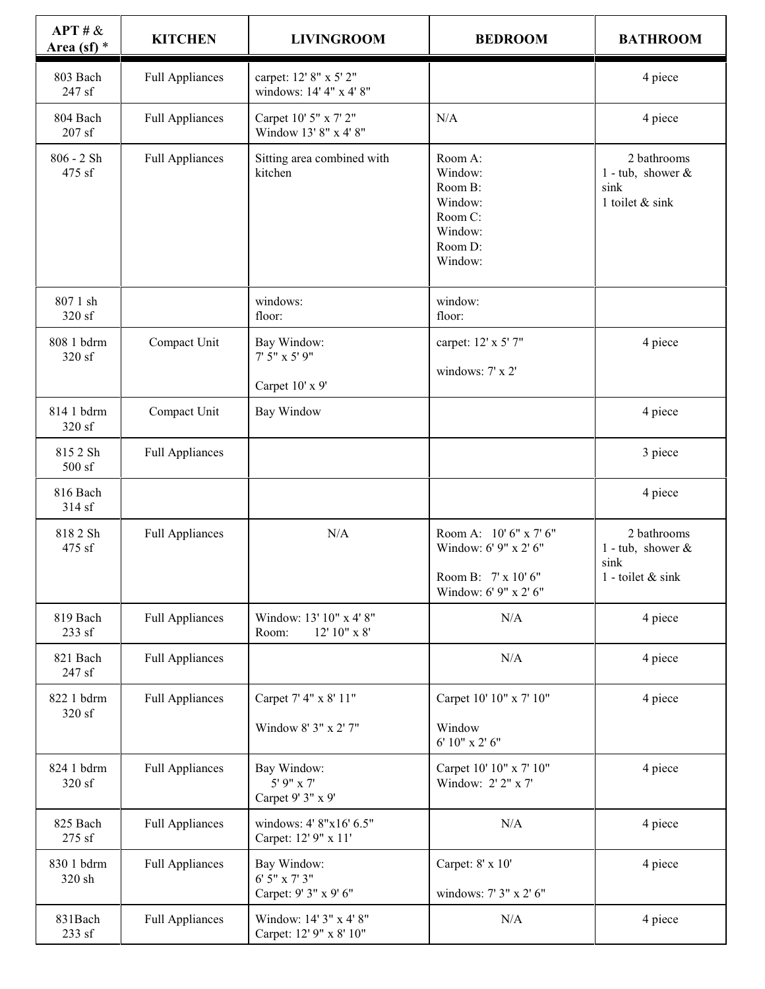| APT # &<br>Area (sf) $*$  | <b>KITCHEN</b>         | <b>LIVINGROOM</b>                                      | <b>BEDROOM</b>                                                                                  | <b>BATHROOM</b>                                                    |
|---------------------------|------------------------|--------------------------------------------------------|-------------------------------------------------------------------------------------------------|--------------------------------------------------------------------|
| 803 Bach<br>247 sf        | <b>Full Appliances</b> | carpet: 12' 8" x 5' 2"<br>windows: 14' 4" x 4' 8"      |                                                                                                 | 4 piece                                                            |
| 804 Bach<br>$207$ sf      | <b>Full Appliances</b> | Carpet 10' 5" x 7' 2"<br>Window 13' 8" x 4' 8"         | $\rm N/A$                                                                                       | 4 piece                                                            |
| $806 - 2 \, Sh$<br>475 sf | <b>Full Appliances</b> | Sitting area combined with<br>kitchen                  | Room A:<br>Window:<br>Room B:<br>Window:<br>Room C:<br>Window:<br>Room D:<br>Window:            | 2 bathrooms<br>1 - tub, shower $\&$<br>sink<br>1 toilet & sink     |
| 807 1 sh<br>320 sf        |                        | windows:<br>floor:                                     | window:<br>floor:                                                                               |                                                                    |
| 808 1 bdrm<br>320 sf      | Compact Unit           | Bay Window:<br>7' 5" x 5' 9"<br>Carpet 10' x 9'        | carpet: 12' x 5' 7"<br>windows: 7' x 2'                                                         | 4 piece                                                            |
| 814 1 bdrm<br>320 sf      | Compact Unit           | Bay Window                                             |                                                                                                 | 4 piece                                                            |
| 815 2 Sh<br>500 sf        | <b>Full Appliances</b> |                                                        |                                                                                                 | 3 piece                                                            |
| 816 Bach<br>314 sf        |                        |                                                        |                                                                                                 | 4 piece                                                            |
| 818 2 Sh<br>475 sf        | <b>Full Appliances</b> | N/A                                                    | Room A: 10' 6" x 7' 6"<br>Window: 6' 9" x 2' 6"<br>Room B: 7' x 10' 6"<br>Window: 6' 9" x 2' 6" | 2 bathrooms<br>1 - tub, shower $\&$<br>sink<br>1 - toilet $&$ sink |
| 819 Bach<br>233 sf        | <b>Full Appliances</b> | Window: 13' 10" x 4' 8"<br>Room:<br>$12'$ $10"$ x $8'$ | $\rm N/A$                                                                                       | 4 piece                                                            |
| 821 Bach<br>247 sf        | <b>Full Appliances</b> |                                                        | $\rm N/A$                                                                                       | 4 piece                                                            |
| 822 1 bdrm<br>320 sf      | <b>Full Appliances</b> | Carpet 7' 4" x 8' 11"<br>Window 8' 3" x 2' 7"          | Carpet 10' 10" x 7' 10"<br>Window<br>6' 10" x 2' 6"                                             | 4 piece                                                            |
| 824 1 bdrm<br>320 sf      | <b>Full Appliances</b> | Bay Window:<br>5' 9" x 7'<br>Carpet 9' 3" x 9'         | Carpet 10' 10" x 7' 10"<br>Window: 2' 2" x 7'                                                   | 4 piece                                                            |
| 825 Bach<br>275 sf        | <b>Full Appliances</b> | windows: 4' 8"x16' 6.5"<br>Carpet: 12' 9" x 11'        | $\rm N/A$                                                                                       | 4 piece                                                            |
| 830 1 bdrm<br>320 sh      | <b>Full Appliances</b> | Bay Window:<br>6' 5" x 7' 3"<br>Carpet: 9' 3" x 9' 6"  | Carpet: 8' x 10'<br>windows: 7' 3" x 2' 6"                                                      | 4 piece                                                            |
| 831Bach<br>233 sf         | <b>Full Appliances</b> | Window: 14' 3" x 4' 8"<br>Carpet: 12' 9" x 8' 10"      | N/A                                                                                             | 4 piece                                                            |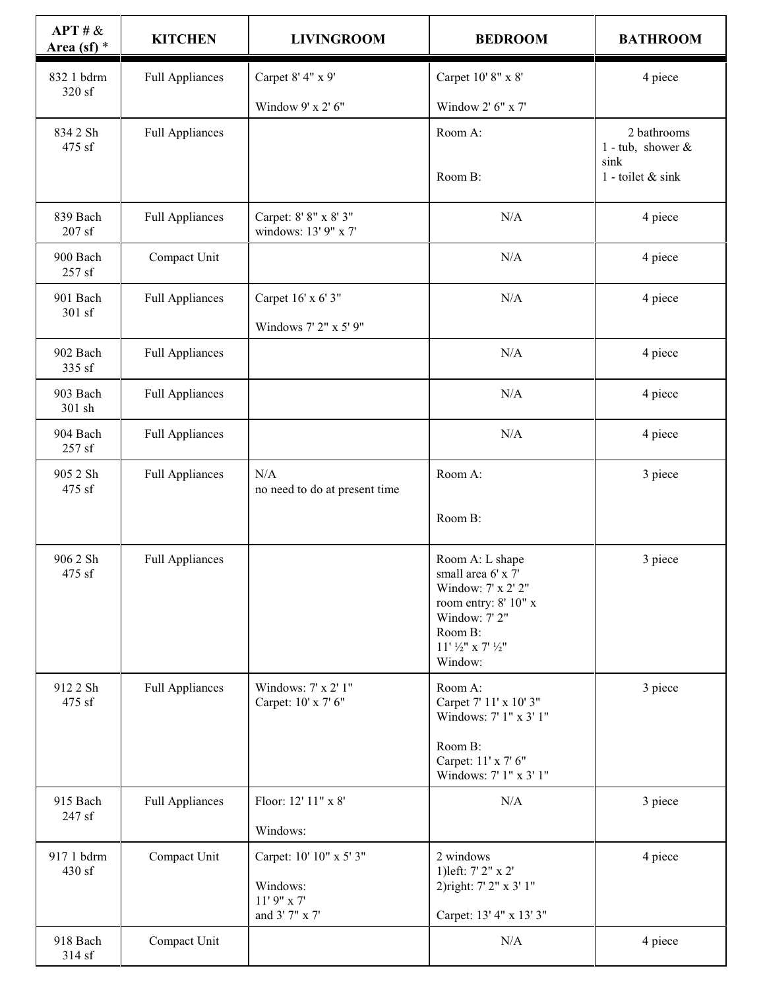| APT # &<br>Area (sf) $*$ | <b>KITCHEN</b>         | <b>LIVINGROOM</b>                                                      | <b>BEDROOM</b>                                                                                                                                            | <b>BATHROOM</b>                                                  |
|--------------------------|------------------------|------------------------------------------------------------------------|-----------------------------------------------------------------------------------------------------------------------------------------------------------|------------------------------------------------------------------|
| 832 1 bdrm               | <b>Full Appliances</b> | Carpet 8' 4" x 9'                                                      | Carpet 10' 8" x 8'                                                                                                                                        | 4 piece                                                          |
| 320 sf                   |                        | Window 9' x 2' 6"                                                      | Window 2' 6" x 7'                                                                                                                                         |                                                                  |
| 834 2 Sh<br>475 sf       | <b>Full Appliances</b> |                                                                        | Room A:                                                                                                                                                   | 2 bathrooms<br>1 - tub, shower $\&$<br>sink<br>1 - toilet & sink |
|                          |                        |                                                                        | Room B:                                                                                                                                                   |                                                                  |
| 839 Bach<br>$207$ sf     | <b>Full Appliances</b> | Carpet: 8' 8" x 8' 3"<br>windows: 13' 9" x 7'                          | N/A                                                                                                                                                       | 4 piece                                                          |
| 900 Bach<br>257 sf       | Compact Unit           |                                                                        | N/A                                                                                                                                                       | 4 piece                                                          |
| 901 Bach                 | <b>Full Appliances</b> | Carpet 16' x 6' 3"                                                     | N/A                                                                                                                                                       | 4 piece                                                          |
| 301 sf                   |                        | Windows 7' 2" x 5' 9"                                                  |                                                                                                                                                           |                                                                  |
| 902 Bach<br>335 sf       | <b>Full Appliances</b> |                                                                        | N/A                                                                                                                                                       | 4 piece                                                          |
| 903 Bach<br>301 sh       | <b>Full Appliances</b> |                                                                        | N/A                                                                                                                                                       | 4 piece                                                          |
| 904 Bach<br>257 sf       | <b>Full Appliances</b> |                                                                        | $\rm N/A$                                                                                                                                                 | 4 piece                                                          |
| 905 2 Sh<br>475 sf       | <b>Full Appliances</b> | N/A<br>no need to do at present time                                   | Room A:                                                                                                                                                   | 3 piece                                                          |
|                          |                        |                                                                        | Room B:                                                                                                                                                   |                                                                  |
| 906 2 Sh<br>475 sf       | <b>Full Appliances</b> |                                                                        | Room A: L shape<br>small area $6' \times 7'$<br>Window: 7' x 2' 2"<br>room entry: 8' 10" x<br>Window: 7' 2"<br>Room B:<br>$11'$ 1/2" x 7' 1/2"<br>Window: | 3 piece                                                          |
| 912 2 Sh<br>475 sf       | <b>Full Appliances</b> | Windows: 7' x 2' 1"<br>Carpet: 10' x 7' 6"                             | Room A:<br>Carpet 7' 11' x 10' 3"<br>Windows: 7' 1" x 3' 1"                                                                                               | 3 piece                                                          |
|                          |                        |                                                                        | Room B:<br>Carpet: 11' x 7' 6"<br>Windows: 7' 1" x 3' 1"                                                                                                  |                                                                  |
| 915 Bach<br>247 sf       | <b>Full Appliances</b> | Floor: 12' 11" x 8'                                                    | $\rm N/A$                                                                                                                                                 | 3 piece                                                          |
|                          |                        | Windows:                                                               |                                                                                                                                                           |                                                                  |
| 917 1 bdrm<br>430 sf     | Compact Unit           | Carpet: 10' 10" x 5' 3"<br>Windows:<br>$11'$ 9" x 7'<br>and 3' 7" x 7' | 2 windows<br>1) left: 7' 2" x 2'<br>2) right: 7' 2" x 3' 1"<br>Carpet: 13' 4" x 13' 3"                                                                    | 4 piece                                                          |
| 918 Bach                 | Compact Unit           |                                                                        | N/A                                                                                                                                                       | 4 piece                                                          |
| 314 sf                   |                        |                                                                        |                                                                                                                                                           |                                                                  |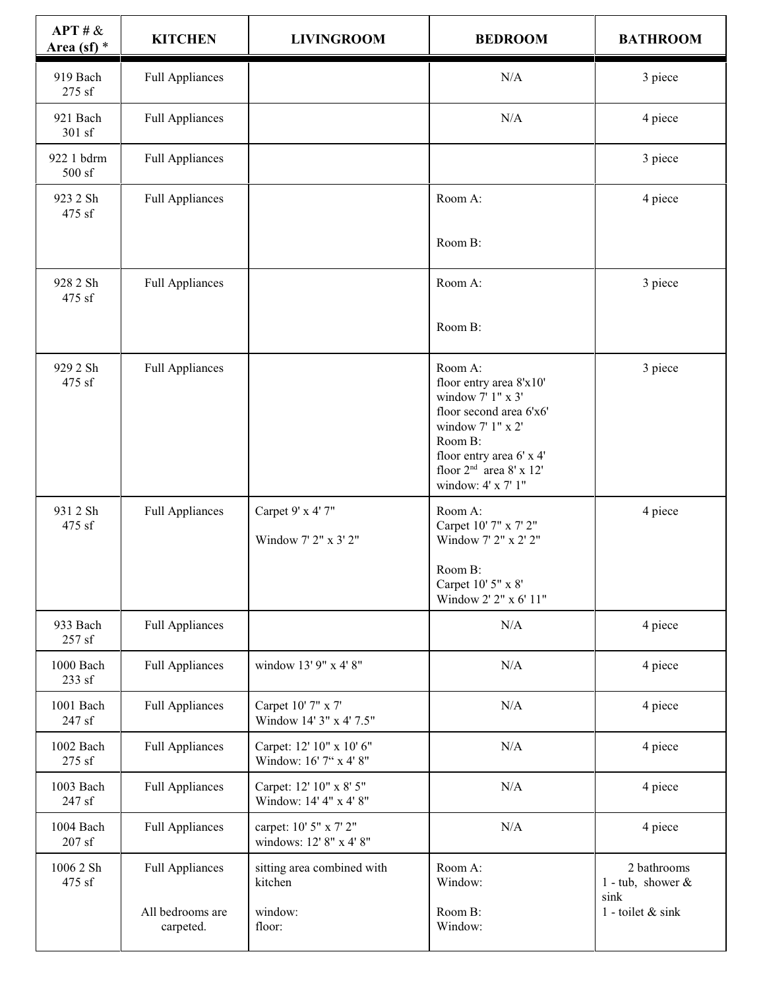| APT # &<br>Area (sf) $*$ | <b>KITCHEN</b>                                          | <b>LIVINGROOM</b>                                          | <b>BEDROOM</b>                                                                                                                                                                                    | <b>BATHROOM</b>                                                    |
|--------------------------|---------------------------------------------------------|------------------------------------------------------------|---------------------------------------------------------------------------------------------------------------------------------------------------------------------------------------------------|--------------------------------------------------------------------|
| 919 Bach<br>275 sf       | <b>Full Appliances</b>                                  |                                                            | N/A                                                                                                                                                                                               | 3 piece                                                            |
| 921 Bach<br>301 sf       | <b>Full Appliances</b>                                  |                                                            | $\rm N/A$                                                                                                                                                                                         | 4 piece                                                            |
| 922 1 bdrm<br>500 sf     | <b>Full Appliances</b>                                  |                                                            |                                                                                                                                                                                                   | 3 piece                                                            |
| 923 2 Sh<br>475 sf       | <b>Full Appliances</b>                                  |                                                            | Room A:                                                                                                                                                                                           | 4 piece                                                            |
|                          |                                                         |                                                            | Room B:                                                                                                                                                                                           |                                                                    |
| 928 2 Sh<br>475 sf       | <b>Full Appliances</b>                                  |                                                            | Room A:                                                                                                                                                                                           | 3 piece                                                            |
|                          |                                                         |                                                            | Room B:                                                                                                                                                                                           |                                                                    |
| 929 2 Sh<br>475 sf       | <b>Full Appliances</b>                                  |                                                            | Room A:<br>floor entry area 8'x10'<br>window 7' 1" x 3'<br>floor second area 6'x6'<br>window 7' 1" x 2'<br>Room B:<br>floor entry area 6' x 4'<br>floor $2nd$ area 8' x 12'<br>window: 4' x 7' 1" | 3 piece                                                            |
| 931 2 Sh<br>475 sf       | <b>Full Appliances</b>                                  | Carpet 9' x 4' 7"<br>Window 7' 2" x 3' 2"                  | Room A:<br>Carpet 10' 7" x 7' 2"<br>Window 7' 2" x 2' 2"<br>Room B:<br>Carpet 10' 5" x 8'<br>Window 2' 2" x 6' 11"                                                                                | 4 piece                                                            |
| 933 Bach<br>257 sf       | <b>Full Appliances</b>                                  |                                                            | N/A                                                                                                                                                                                               | 4 piece                                                            |
| 1000 Bach<br>233 sf      | <b>Full Appliances</b>                                  | window 13' 9" x 4' 8"                                      | $\rm N/A$                                                                                                                                                                                         | 4 piece                                                            |
| 1001 Bach<br>247 sf      | <b>Full Appliances</b>                                  | Carpet 10' 7" x 7'<br>Window 14' 3" x 4' 7.5"              | N/A                                                                                                                                                                                               | 4 piece                                                            |
| 1002 Bach<br>275 sf      | <b>Full Appliances</b>                                  | Carpet: 12' 10" x 10' 6"<br>Window: 16' 7" x 4' 8"         | N/A                                                                                                                                                                                               | 4 piece                                                            |
| 1003 Bach<br>247 sf      | <b>Full Appliances</b>                                  | Carpet: 12' 10" x 8' 5"<br>Window: 14' 4" x 4' 8"          | $\rm N/A$                                                                                                                                                                                         | 4 piece                                                            |
| 1004 Bach<br>$207$ sf    | <b>Full Appliances</b>                                  | carpet: 10' 5" x 7' 2"<br>windows: 12' 8" x 4' 8"          | N/A                                                                                                                                                                                               | 4 piece                                                            |
| 1006 2 Sh<br>475 sf      | <b>Full Appliances</b><br>All bedrooms are<br>carpeted. | sitting area combined with<br>kitchen<br>window:<br>floor: | Room A:<br>Window:<br>Room B:<br>Window:                                                                                                                                                          | 2 bathrooms<br>1 - tub, shower $\&$<br>sink<br>1 - toilet $&$ sink |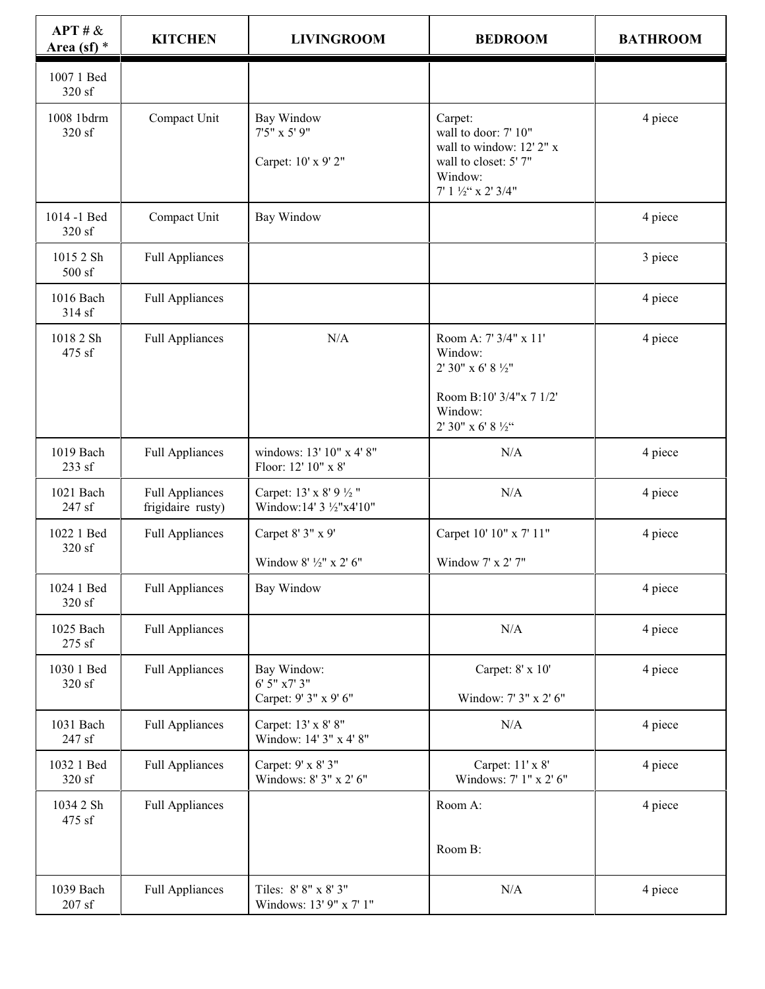| APT # &<br>Area (sf) $*$     | <b>KITCHEN</b>                              | <b>LIVINGROOM</b>                                    | <b>BEDROOM</b>                                                                                                                      | <b>BATHROOM</b> |
|------------------------------|---------------------------------------------|------------------------------------------------------|-------------------------------------------------------------------------------------------------------------------------------------|-----------------|
| 1007 1 Bed<br>320 sf         |                                             |                                                      |                                                                                                                                     |                 |
| 1008 1bdrm<br>320 sf         | Compact Unit                                | Bay Window<br>7'5" x 5' 9"<br>Carpet: 10' x 9' 2"    | Carpet:<br>wall to door: 7' 10"<br>wall to window: 12' 2" x<br>wall to closet: 5' 7"<br>Window:<br>$7'$ 1 $\frac{1}{2}$ " x 2' 3/4" | 4 piece         |
| 1014 -1 Bed<br>320 sf        | Compact Unit                                | <b>Bay Window</b>                                    |                                                                                                                                     | 4 piece         |
| 1015 2 Sh<br>500 sf          | <b>Full Appliances</b>                      |                                                      |                                                                                                                                     | 3 piece         |
| 1016 Bach<br>314 sf          | <b>Full Appliances</b>                      |                                                      |                                                                                                                                     | 4 piece         |
| 1018 2 Sh<br>475 sf          | <b>Full Appliances</b>                      | N/A                                                  | Room A: 7' 3/4" x 11'<br>Window:<br>2' 30" x 6' 8 1/2"<br>Room B:10' 3/4"x 7 1/2"<br>Window:<br>2' 30" x 6' 8 $\frac{1}{2}$ "       | 4 piece         |
| 1019 Bach<br>233 sf          | <b>Full Appliances</b>                      | windows: 13' 10" x 4' 8"<br>Floor: 12' 10" x 8'      | N/A                                                                                                                                 | 4 piece         |
| 1021 Bach<br>247 sf          | <b>Full Appliances</b><br>frigidaire rusty) | Carpet: 13' x 8' 9 1/2"<br>Window:14' 3 1/2"x4'10"   | N/A                                                                                                                                 | 4 piece         |
| 1022 1 Bed<br>320 sf         | <b>Full Appliances</b>                      | Carpet 8' 3" x 9'<br>Window 8' 1/2" x 2' 6"          | Carpet 10' 10" x 7' 11"<br>Window 7' x 2' 7"                                                                                        | 4 piece         |
| 1024 1 Bed<br>320 sf         | <b>Full Appliances</b>                      | Bay Window                                           |                                                                                                                                     | 4 piece         |
| 1025 Bach<br>275 sf          | <b>Full Appliances</b>                      |                                                      | N/A                                                                                                                                 | 4 piece         |
| 1030 1 Bed<br>320 sf         | <b>Full Appliances</b>                      | Bay Window:<br>6' 5" x7' 3"<br>Carpet: 9' 3" x 9' 6" | Carpet: 8' x 10'<br>Window: 7' 3" x 2' 6"                                                                                           | 4 piece         |
| 1031 Bach<br>247 sf          | <b>Full Appliances</b>                      | Carpet: 13' x 8' 8"<br>Window: 14' 3" x 4' 8"        | N/A                                                                                                                                 | 4 piece         |
| 1032 1 Bed<br>320 sf         | <b>Full Appliances</b>                      | Carpet: 9' x 8' 3"<br>Windows: 8' 3" x 2' 6"         | Carpet: 11' x 8'<br>Windows: 7' 1" x 2' 6"                                                                                          | 4 piece         |
| 1034 2 Sh<br>475 sf          | <b>Full Appliances</b>                      |                                                      | Room A:<br>Room B:                                                                                                                  | 4 piece         |
| 1039 Bach<br>$207\ {\rm sf}$ | <b>Full Appliances</b>                      | Tiles: 8' 8" x 8' 3"<br>Windows: 13' 9" x 7' 1"      | $\rm N/A$                                                                                                                           | 4 piece         |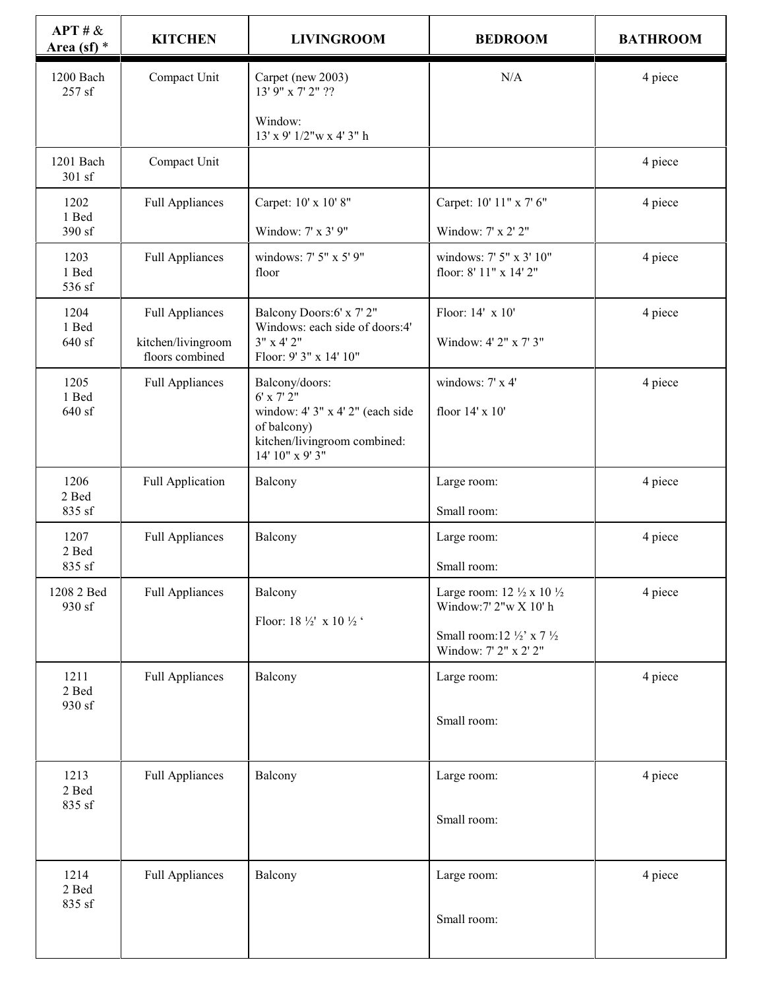| APT # &<br>Area (sf) $*$       | <b>KITCHEN</b>                        | <b>LIVINGROOM</b>                                                                                                | <b>BEDROOM</b>                                                               | <b>BATHROOM</b> |
|--------------------------------|---------------------------------------|------------------------------------------------------------------------------------------------------------------|------------------------------------------------------------------------------|-----------------|
| 1200 Bach<br>257 sf            | Compact Unit                          | Carpet (new 2003)<br>13' 9" x 7' 2" ??                                                                           | N/A                                                                          | 4 piece         |
|                                |                                       | Window:<br>$13'$ x 9' $1/2''$ w x 4' 3" h                                                                        |                                                                              |                 |
| 1201 Bach<br>301 sf            | Compact Unit                          |                                                                                                                  |                                                                              | 4 piece         |
| 1202<br>1 Bed                  | <b>Full Appliances</b>                | Carpet: 10' x 10' 8"                                                                                             | Carpet: 10' 11" x 7' 6"                                                      | 4 piece         |
| 390 sf                         |                                       | Window: 7' x 3' 9"                                                                                               | Window: 7' x 2' 2"                                                           |                 |
| 1203<br>1 Bed<br>536 sf        | <b>Full Appliances</b>                | windows: 7' 5" x 5' 9"<br>floor                                                                                  | windows: 7' 5" x 3' 10"<br>floor: 8' 11" x 14' 2"                            | 4 piece         |
| 1204                           | <b>Full Appliances</b>                | Balcony Doors:6' x 7' 2"                                                                                         | Floor: 14' x 10'                                                             | 4 piece         |
| 1 Bed<br>640 sf                | kitchen/livingroom<br>floors combined | Windows: each side of doors:4'<br>3" x 4' 2"<br>Floor: 9' 3" x 14' 10"                                           | Window: 4' 2" x 7' 3"                                                        |                 |
| 1205                           | <b>Full Appliances</b>                | Balcony/doors:                                                                                                   | windows: 7' x 4'                                                             | 4 piece         |
| 1 Bed<br>640 sf                |                                       | 6' x 7' 2"<br>window: 4' 3" x 4' 2" (each side<br>of balcony)<br>kitchen/livingroom combined:<br>14' 10" x 9' 3" | floor 14' x 10'                                                              |                 |
| 1206<br>2 Bed<br>835 sf        | <b>Full Application</b>               | Balcony                                                                                                          | Large room:<br>Small room:                                                   | 4 piece         |
|                                |                                       |                                                                                                                  |                                                                              |                 |
| 1207<br>2 Bed<br>835 sf        | <b>Full Appliances</b>                | Balcony                                                                                                          | Large room:<br>Small room:                                                   | 4 piece         |
| 1208 2 Bed<br>930 sf           | <b>Full Appliances</b>                | Balcony                                                                                                          | Large room: $12 \frac{1}{2} \times 10 \frac{1}{2}$<br>Window: 7' 2"w X 10' h | 4 piece         |
|                                |                                       | Floor: 18 $\frac{1}{2}$ x 10 $\frac{1}{2}$                                                                       | Small room:12 $\frac{1}{2}$ ' x 7 $\frac{1}{2}$<br>Window: 7' 2" x 2' 2"     |                 |
| 1211<br>2 Bed                  | <b>Full Appliances</b>                | Balcony                                                                                                          | Large room:                                                                  | 4 piece         |
| 930 sf                         |                                       |                                                                                                                  | Small room:                                                                  |                 |
| 1213<br>$2$ Bed $\,$<br>835 sf | <b>Full Appliances</b>                | Balcony                                                                                                          | Large room:                                                                  | 4 piece         |
|                                |                                       |                                                                                                                  | Small room:                                                                  |                 |
| 1214<br>2 Bed                  | <b>Full Appliances</b>                | Balcony                                                                                                          | Large room:                                                                  | 4 piece         |
| 835 sf                         |                                       |                                                                                                                  | Small room:                                                                  |                 |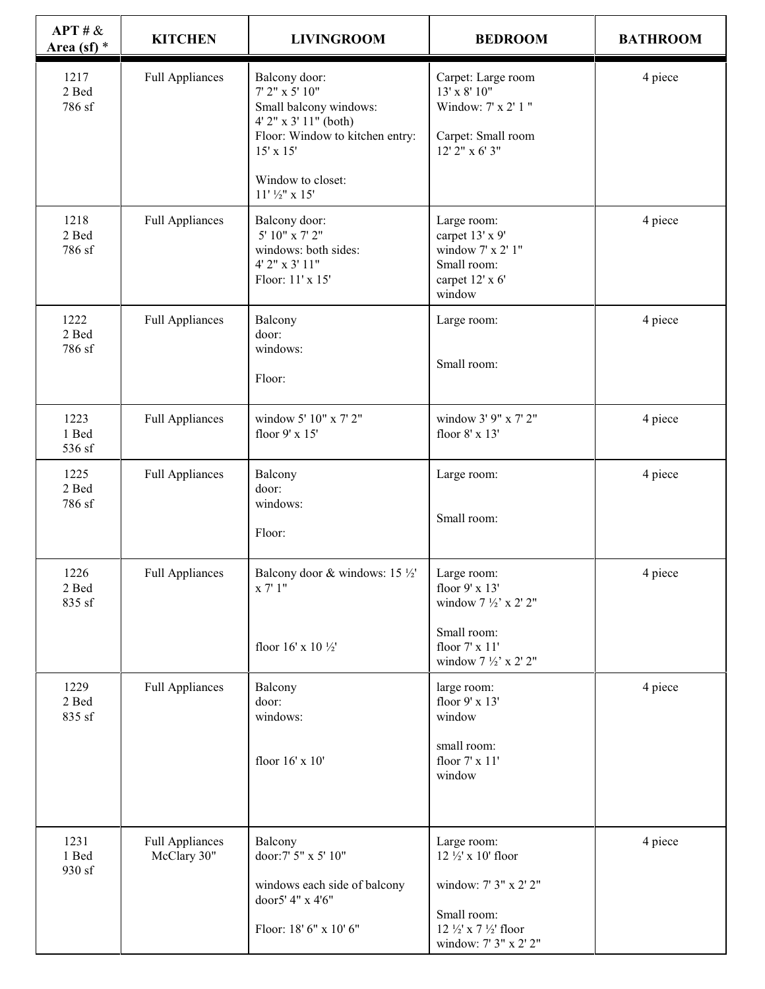| APT # &<br>Area (sf) $*$ | <b>KITCHEN</b>                        | <b>LIVINGROOM</b>                                                                                                                                                           | <b>BEDROOM</b>                                                                                                                | <b>BATHROOM</b> |
|--------------------------|---------------------------------------|-----------------------------------------------------------------------------------------------------------------------------------------------------------------------------|-------------------------------------------------------------------------------------------------------------------------------|-----------------|
| 1217<br>2 Bed<br>786 sf  | <b>Full Appliances</b>                | Balcony door:<br>7' 2" x 5' 10"<br>Small balcony windows:<br>4' 2" x 3' 11" (both)<br>Floor: Window to kitchen entry:<br>15' x 15'<br>Window to closet:<br>$11'$ 1/2" x 15" | Carpet: Large room<br>$13' \times 8' 10''$<br>Window: 7' x 2' 1 "<br>Carpet: Small room<br>12' 2" x 6' 3"                     | 4 piece         |
| 1218<br>2 Bed<br>786 sf  | <b>Full Appliances</b>                | Balcony door:<br>5' 10" x 7' 2"<br>windows: both sides:<br>4' 2" x 3' 11"<br>Floor: 11' x 15'                                                                               | Large room:<br>carpet 13' x 9'<br>window 7' x 2' 1"<br>Small room:<br>carpet 12' x 6'<br>window                               | 4 piece         |
| 1222<br>2 Bed<br>786 sf  | <b>Full Appliances</b>                | Balcony<br>door:<br>windows:<br>Floor:                                                                                                                                      | Large room:<br>Small room:                                                                                                    | 4 piece         |
| 1223<br>1 Bed<br>536 sf  | <b>Full Appliances</b>                | window 5' 10" x 7' 2"<br>floor 9' x 15'                                                                                                                                     | window 3' 9" x 7' 2"<br>floor 8' x 13'                                                                                        | 4 piece         |
| 1225<br>2 Bed<br>786 sf  | <b>Full Appliances</b>                | Balcony<br>door:<br>windows:<br>Floor:                                                                                                                                      | Large room:<br>Small room:                                                                                                    | 4 piece         |
| 1226<br>2 Bed<br>835 sf  | Full Appliances                       | Balcony door & windows: 15 $\frac{1}{2}$<br>x 7' 1''<br>floor 16' x 10 1/2'                                                                                                 | Large room:<br>floor 9' x 13'<br>window 7 $\frac{1}{2}$ ' x 2' 2"<br>Small room:<br>floor 7' x 11'<br>window 7 1/2' x 2' 2"   | 4 piece         |
| 1229<br>2 Bed<br>835 sf  | <b>Full Appliances</b>                | Balcony<br>door:<br>windows:<br>floor 16' x 10'                                                                                                                             | large room:<br>floor 9' x 13'<br>window<br>small room:<br>floor 7' x 11'<br>window                                            | 4 piece         |
| 1231<br>1 Bed<br>930 sf  | <b>Full Appliances</b><br>McClary 30" | Balcony<br>door:7' 5" x 5' 10"<br>windows each side of balcony<br>door5' 4" x 4'6"<br>Floor: 18' 6" x 10' 6"                                                                | Large room:<br>12 1/2' x 10' floor<br>window: 7' 3" x 2' 2"<br>Small room:<br>12 1/2' x 7 1/2' floor<br>window: 7' 3" x 2' 2" | 4 piece         |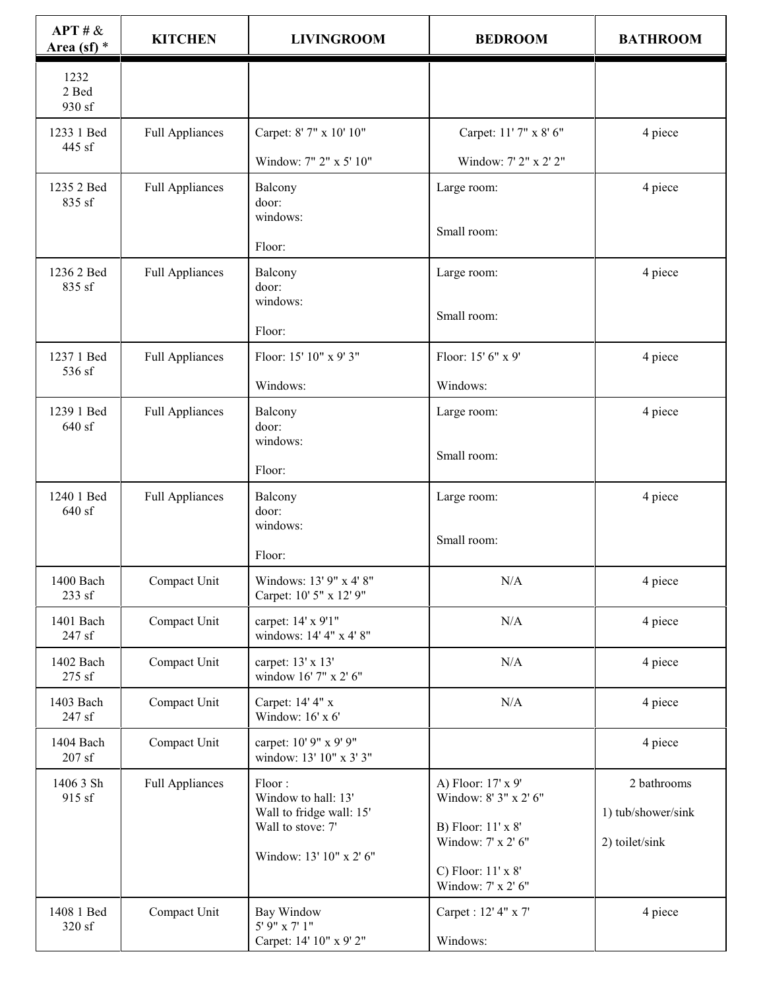| APT # &<br>Area (sf) $*$ | <b>KITCHEN</b>         | <b>LIVINGROOM</b>                                                              | <b>BEDROOM</b>                                                                          | <b>BATHROOM</b>                                     |
|--------------------------|------------------------|--------------------------------------------------------------------------------|-----------------------------------------------------------------------------------------|-----------------------------------------------------|
| 1232<br>2 Bed<br>930 sf  |                        |                                                                                |                                                                                         |                                                     |
| 1233 1 Bed<br>445 sf     | <b>Full Appliances</b> | Carpet: 8' 7" x 10' 10"                                                        | Carpet: 11' 7" x 8' 6"                                                                  | 4 piece                                             |
|                          |                        | Window: 7" 2" x 5' 10"                                                         | Window: 7' 2" x 2' 2"                                                                   |                                                     |
| 1235 2 Bed<br>835 sf     | <b>Full Appliances</b> | Balcony<br>door:<br>windows:                                                   | Large room:                                                                             | 4 piece                                             |
|                          |                        | Floor:                                                                         | Small room:                                                                             |                                                     |
| 1236 2 Bed<br>835 sf     | <b>Full Appliances</b> | Balcony<br>door:                                                               | Large room:                                                                             | 4 piece                                             |
|                          |                        | windows:<br>Floor:                                                             | Small room:                                                                             |                                                     |
| 1237 1 Bed<br>536 sf     | <b>Full Appliances</b> | Floor: 15' 10" x 9' 3"                                                         | Floor: 15' 6" x 9"                                                                      | 4 piece                                             |
|                          |                        | Windows:                                                                       | Windows:                                                                                |                                                     |
| 1239 1 Bed<br>640 sf     | <b>Full Appliances</b> | Balcony<br>door:                                                               | Large room:                                                                             | 4 piece                                             |
|                          |                        | windows:<br>Floor:                                                             | Small room:                                                                             |                                                     |
| 1240 1 Bed<br>640 sf     | <b>Full Appliances</b> | Balcony<br>door:<br>windows:                                                   | Large room:                                                                             | 4 piece                                             |
|                          |                        | Floor:                                                                         | Small room:                                                                             |                                                     |
| 1400 Bach<br>233 sf      | Compact Unit           | Windows: 13' 9" x 4' 8"<br>Carpet: 10' 5" x 12' 9"                             | N/A                                                                                     | 4 piece                                             |
| 1401 Bach<br>247 sf      | Compact Unit           | carpet: 14' x 9'1"<br>windows: 14' 4" x 4' 8"                                  | N/A                                                                                     | 4 piece                                             |
| 1402 Bach<br>275 sf      | Compact Unit           | carpet: 13' x 13'<br>window 16' 7" x 2' 6"                                     | $\rm N/A$                                                                               | 4 piece                                             |
| 1403 Bach<br>247 sf      | Compact Unit           | Carpet: 14' 4" x<br>Window: 16' x 6'                                           | N/A                                                                                     | 4 piece                                             |
| 1404 Bach<br>$207$ sf    | Compact Unit           | carpet: 10' 9" x 9' 9"<br>window: 13' 10" x 3' 3"                              |                                                                                         | 4 piece                                             |
| 1406 3 Sh<br>915 sf      | <b>Full Appliances</b> | Floor:<br>Window to hall: 13'<br>Wall to fridge wall: 15'<br>Wall to stove: 7' | A) Floor: 17' x 9'<br>Window: 8' 3" x 2' 6"<br>B) Floor: 11' x 8'<br>Window: 7' x 2' 6" | 2 bathrooms<br>1) tub/shower/sink<br>2) toilet/sink |
|                          |                        | Window: 13' 10" x 2' 6"                                                        | C) Floor: 11' x 8'<br>Window: 7' x 2' 6"                                                |                                                     |
| 1408 1 Bed<br>320 sf     | Compact Unit           | Bay Window<br>5' 9" x 7' 1"<br>Carpet: 14' 10" x 9' 2"                         | Carpet : 12' 4" x 7'<br>Windows:                                                        | 4 piece                                             |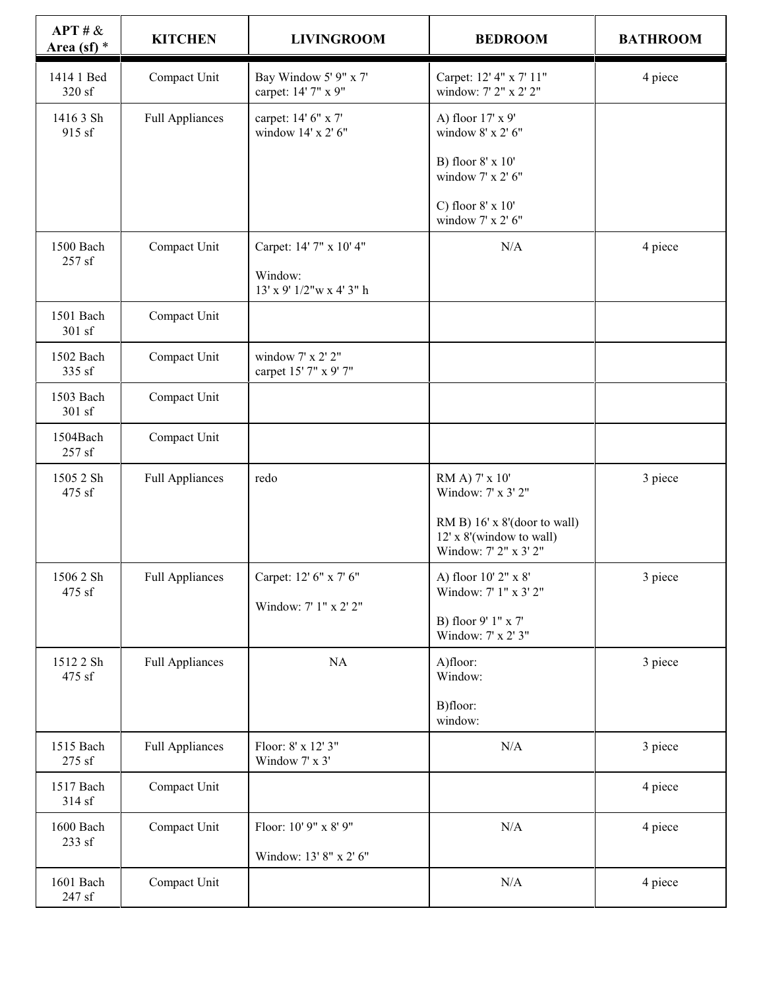| APT # &<br>Area (sf) $*$ | <b>KITCHEN</b>         | <b>LIVINGROOM</b>                                               | <b>BEDROOM</b>                                                                    | <b>BATHROOM</b> |
|--------------------------|------------------------|-----------------------------------------------------------------|-----------------------------------------------------------------------------------|-----------------|
| 1414 1 Bed<br>320 sf     | Compact Unit           | Bay Window 5' 9" x 7'<br>carpet: 14' 7" x 9"                    | Carpet: 12' 4" x 7' 11"<br>window: 7' 2" x 2' 2"                                  | 4 piece         |
| 1416 3 Sh<br>915 sf      | <b>Full Appliances</b> | carpet: 14' 6" x 7'<br>window 14' x 2' 6"                       | A) floor 17' x 9'<br>window 8' x 2' 6"                                            |                 |
|                          |                        |                                                                 | B) floor 8' x 10'<br>window 7' x 2' 6"                                            |                 |
|                          |                        |                                                                 | C) floor $8' \times 10'$<br>window $7'$ x $2'$ 6"                                 |                 |
| 1500 Bach<br>257 sf      | Compact Unit           | Carpet: 14' 7" x 10' 4"<br>Window:<br>13' x 9' 1/2" w x 4' 3" h | N/A                                                                               | 4 piece         |
| 1501 Bach<br>301 sf      | Compact Unit           |                                                                 |                                                                                   |                 |
| 1502 Bach<br>335 sf      | Compact Unit           | window 7' x 2' 2"<br>carpet 15' 7" x 9' 7"                      |                                                                                   |                 |
| 1503 Bach<br>301 sf      | Compact Unit           |                                                                 |                                                                                   |                 |
| 1504Bach<br>257 sf       | Compact Unit           |                                                                 |                                                                                   |                 |
| 1505 2 Sh<br>475 sf      | <b>Full Appliances</b> | redo                                                            | RM A) 7' x 10'<br>Window: 7' x 3' 2"                                              | 3 piece         |
|                          |                        |                                                                 | RM B) 16' x 8'(door to wall)<br>12' x 8'(window to wall)<br>Window: 7' 2" x 3' 2" |                 |
| 1506 2 Sh<br>475 sf      | <b>Full Appliances</b> | Carpet: 12' 6" x 7' 6"                                          | A) floor 10' 2" x 8'<br>Window: 7' 1" x 3' 2"                                     | 3 piece         |
|                          |                        | Window: 7' 1" x 2' 2"                                           | B) floor 9' 1" x 7'<br>Window: 7' x 2' 3"                                         |                 |
| 1512 2 Sh<br>475 sf      | <b>Full Appliances</b> | $\rm NA$                                                        | A)floor:<br>Window:                                                               | 3 piece         |
|                          |                        |                                                                 | B)floor:<br>window:                                                               |                 |
| 1515 Bach<br>275 sf      | <b>Full Appliances</b> | Floor: 8' x 12' 3"<br>Window 7' x 3'                            | N/A                                                                               | 3 piece         |
| 1517 Bach<br>314 sf      | Compact Unit           |                                                                 |                                                                                   | 4 piece         |
| 1600 Bach<br>233 sf      | Compact Unit           | Floor: 10' 9" x 8' 9"                                           | $\rm N/A$                                                                         | 4 piece         |
|                          |                        | Window: 13' 8" x 2' 6"                                          |                                                                                   |                 |
| 1601 Bach<br>247 sf      | Compact Unit           |                                                                 | $\rm N/A$                                                                         | 4 piece         |